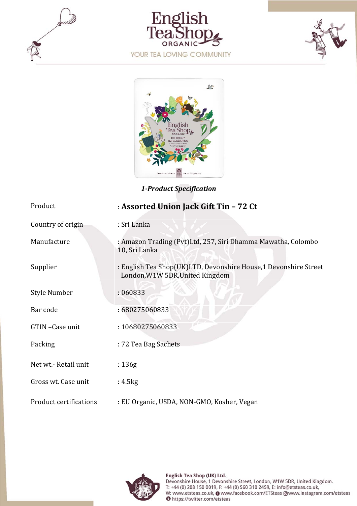







*1‐Product Specification*

| Product                       | : Assorted Union Jack Gift Tin - 72 Ct                                                              |
|-------------------------------|-----------------------------------------------------------------------------------------------------|
| Country of origin             | : Sri Lanka                                                                                         |
| Manufacture                   | : Amazon Trading (Pvt)Ltd, 257, Siri Dhamma Mawatha, Colombo<br>10, Sri Lanka                       |
| Supplier                      | : English Tea Shop(UK)LTD, Devonshire House, 1 Devonshire Street<br>London, W1W 5DR, United Kingdom |
| <b>Style Number</b>           | : 060833                                                                                            |
| Bar code                      | : 680275060833                                                                                      |
| GTIN-Case unit                | : 10680275060833                                                                                    |
| Packing                       | : 72 Tea Bag Sachets                                                                                |
| Net wt.- Retail unit          | :136g                                                                                               |
| Gross wt. Case unit           | : 4.5 kg                                                                                            |
| <b>Product certifications</b> | : EU Organic, USDA, NON-GMO, Kosher, Vegan                                                          |

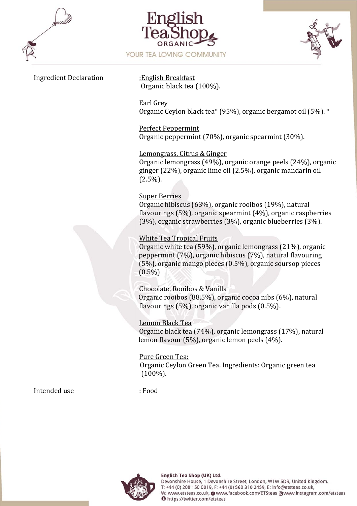





#### Ingredient Declaration :English Breakfast

Organic black tea (100%).

Earl Grey Organic Ceylon black tea\* (95%), organic bergamot oil (5%). \*

Perfect Peppermint Organic peppermint (70%), organic spearmint (30%).

#### Lemongrass, Citrus & Ginger

Organic lemongrass (49%), organic orange peels (24%), organic ginger (22%), organic lime oil (2.5%), organic mandarin oil  $(2.5\%)$ .

#### Super Berries

Organic hibiscus (63%), organic rooibos (19%), natural flavourings (5%), organic spearmint (4%), organic raspberries (3%), organic strawberries (3%), organic blueberries (3%).

#### White Tea Tropical Fruits

Organic white tea (59%), organic lemongrass (21%), organic peppermint (7%), organic hibiscus (7%), natural flavouring (5%), organic mango pieces (0.5%), organic soursop pieces  $(0.5\%)$ 

Chocolate, Rooibos & Vanilla Organic rooibos (88.5%), organic cocoa nibs (6%), natural flavourings (5%), organic vanilla pods (0.5%).

Lemon Black Tea Organic black tea (74%), organic lemongrass (17%), natural lemon flavour (5%), organic lemon peels (4%).

Pure Green Tea: Organic Ceylon Green Tea. Ingredients: Organic green tea (100%).

Intended use : Food

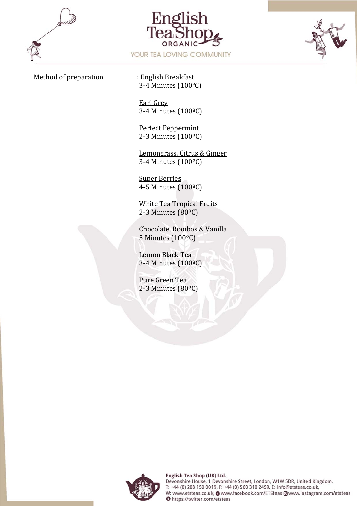





#### Method of preparation : English Breakfast

3-4 Minutes (100℃)

Earl Grey 3-4 Minutes (100ºC)

Perfect Peppermint 2-3 Minutes (100ºC)

Lemongrass, Citrus & Ginger 3-4 Minutes (100ºC)

Super Berries 4-5 Minutes (100ºC)

White Tea Tropical Fruits 2-3 Minutes (80ºC)

Chocolate, Rooibos & Vanilla 5 Minutes (100ºC)

Lemon Black Tea 3-4 Minutes (100ºC)

Pure Green Tea 2-3 Minutes (80ºC)

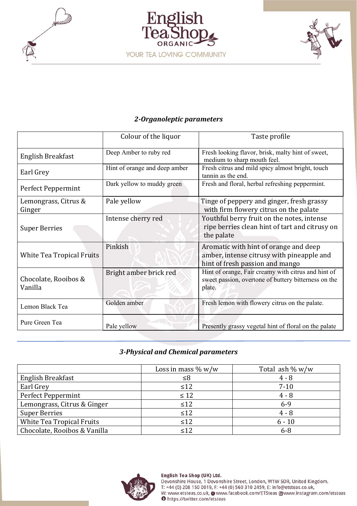





# *2‐Organoleptic parameters*

|                                 | Colour of the liquor          | Taste profile                                                                                                         |
|---------------------------------|-------------------------------|-----------------------------------------------------------------------------------------------------------------------|
| English Breakfast               | Deep Amber to ruby red        | Fresh looking flavor, brisk, malty hint of sweet,<br>medium to sharp mouth feel.                                      |
| Earl Grey                       | Hint of orange and deep amber | Fresh citrus and mild spicy almost bright, touch<br>tannin as the end.                                                |
| Perfect Peppermint              | Dark yellow to muddy green    | Fresh and floral, herbal refreshing peppermint.                                                                       |
| Lemongrass, Citrus &<br>Ginger  | Pale yellow                   | Tinge of peppery and ginger, fresh grassy<br>with firm flowery citrus on the palate                                   |
| <b>Super Berries</b>            | Intense cherry red            | Youthful berry fruit on the notes, intense<br>ripe berries clean hint of tart and citrusy on<br>the palate            |
| White Tea Tropical Fruits       | Pinkish                       | Aromatic with hint of orange and deep<br>amber, intense citrusy with pineapple and<br>hint of fresh passion and mango |
| Chocolate, Rooibos &<br>Vanilla | Bright amber brick red        | Hint of orange, Fair creamy with citrus and hint of<br>sweet passion, overtone of buttery bitterness on the<br>plate. |
| Lemon Black Tea                 | Golden amber                  | Fresh lemon with flowery citrus on the palate.                                                                        |
| Pure Green Tea                  | Pale yellow                   | Presently grassy vegetal hint of floral on the palate                                                                 |

## *3‐Physical and Chemical parameters*

|                              | Loss in mass $\% w/w$ | Total ash $\% w/w$ |
|------------------------------|-----------------------|--------------------|
| English Breakfast            | ≤8                    | $4 - 8$            |
| Earl Grey                    | $\leq 12$             | $7 - 10$           |
| Perfect Peppermint           | $\leq 12$             | $4 - 8$            |
| Lemongrass, Citrus & Ginger  | $\leq 12$             | $6-9$              |
| <b>Super Berries</b>         | $\leq 12$             | $4 - 8$            |
| White Tea Tropical Fruits    | $\leq 12$             | $6 - 10$           |
| Chocolate, Rooibos & Vanilla | < 12                  | $6 - 8$            |



Devonshire House, 1 Devonshire Street, London, W1W 5DR, United Kingdom.<br>T: +44 (0) 208 150 0019, F: +44 (0) 560 310 2459, E: info@etsteas.co.uk, W: www.etsteas.co.uk, O www.facebook.com/ETSteas O www.instagram.com/etsteas<br>
O https://twitter.com/etsteas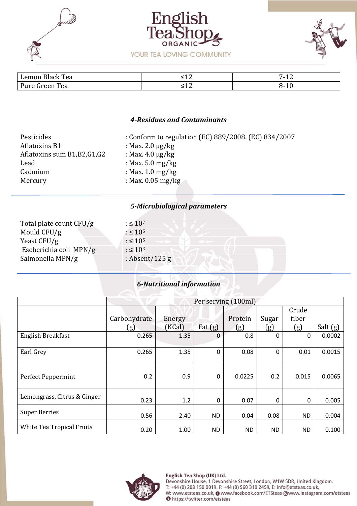





| Tea<br>$\mathbf{r}$<br>$\mu$ emor<br><b>Black</b> | --- | $\overline{ }$<br>$\overline{a}$<br>. .<br>ᆠ |
|---------------------------------------------------|-----|----------------------------------------------|
| $D_{11}$<br>œ<br>l`Aa<br>.<br>⊷                   | ᆖᆂᄼ | <b>10</b><br>'TΩ                             |

#### *4‐Residues and Contaminants*

| Pesticides                    | : Conform to regulation (EC) 889/2008. (EC) 834/2007 |
|-------------------------------|------------------------------------------------------|
| <b>Aflatoxins B1</b>          | : Max. 2.0 $\mu$ g/kg                                |
| Aflatoxins sum B1, B2, G1, G2 | : Max. $4.0 \mu g/kg$                                |
| Lead                          | : Max. $5.0 \text{ mg/kg}$                           |
| Cadmium                       | : Max. $1.0 \text{ mg/kg}$                           |
| Mercury                       | : Max. $0.05$ mg/kg                                  |

#### *5‐Microbiological parameters*

| Total plate count CFU/g | $: \leq 10^{7}$  |  |
|-------------------------|------------------|--|
| Mould CFU/g             | $: \leq 10^{5}$  |  |
| Yeast CFU/g             | $: \leq 10^5$    |  |
| Escherichia coli MPN/g  | $: \leq 10^3$    |  |
| Salmonella MPN/g        | : Absent/125 $g$ |  |
|                         |                  |  |

### *6‐Nutritional information*

|                             | Per serving (100ml) |        |             |           |            |            |          |
|-----------------------------|---------------------|--------|-------------|-----------|------------|------------|----------|
|                             |                     |        |             |           |            | Crude      |          |
|                             | Carbohydrate        | Energy |             | Protein   | Sugar      | fiber      |          |
|                             | <u>(g)</u>          | (KCal) | Fat $(g)$   | (g)       | <u>(g)</u> | <u>(g)</u> | Salt (g) |
| English Breakfast           | 0.265               | 1.35   | $\Omega$    | 0.8       | $\Omega$   | 0          | 0.0002   |
|                             |                     |        |             |           |            |            |          |
| Earl Grey                   | 0.265               | 1.35   | $\mathbf 0$ | 0.08      | $\Omega$   | 0.01       | 0.0015   |
| Perfect Peppermint          | 0.2                 | 0.9    | 0           | 0.0225    | 0.2        | 0.015      | 0.0065   |
| Lemongrass, Citrus & Ginger | 0.23                | 1.2    | 0           | 0.07      | $\Omega$   | 0          | 0.005    |
| <b>Super Berries</b>        | 0.56                | 2.40   | ND.         | 0.04      | 0.08       | <b>ND</b>  | 0.004    |
| White Tea Tropical Fruits   | 0.20                | 1.00   | ND.         | <b>ND</b> | <b>ND</b>  | <b>ND</b>  | 0.100    |



#### English Tea Shop (UK) Ltd.

Devonshire House, 1 Devonshire Street, London, W1W 5DR, United Kingdom.<br>T: +44 (0) 208 150 0019, F: +44 (0) 560 310 2459, E: info@etsteas.co.uk, W: www.etsteas.co.uk, O www.facebook.com/ETSteas @www.instagram.com/etsteas<br>
O https://twitter.com/etsteas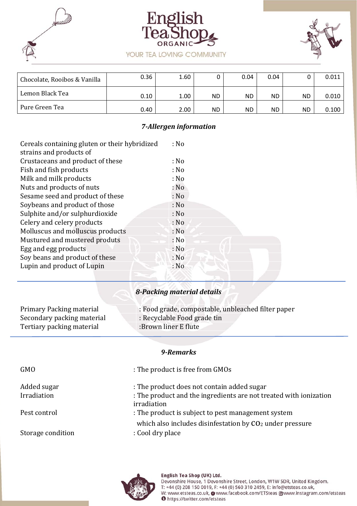





| Chocolate, Rooibos & Vanilla | 0.36 | 1.60 |     | 0.04 | 0.04 |    | 0.011 |
|------------------------------|------|------|-----|------|------|----|-------|
| Lemon Black Tea              | 0.10 | 1.00 | ND. | ND.  | ND   | ΝD | 0.010 |
| Pure Green Tea               | 0.40 | 2.00 | ND. | ND.  | ND.  | ΝD | 0.100 |

### *7‐Allergen information*

| Cereals containing gluten or their hybridized | : No |
|-----------------------------------------------|------|
| strains and products of                       |      |
| Crustaceans and product of these              | : No |
| Fish and fish products                        | : No |
| Milk and milk products                        | : No |
| Nuts and products of nuts                     | : No |
| Sesame seed and product of these              | : No |
| Soybeans and product of those                 | : No |
| Sulphite and/or sulphurdioxide                | : No |
| Celery and celery products                    | : No |
| Molluscus and molluscus products              | : No |
| Mustured and mustered produts                 | : No |
| Egg and egg products                          | : No |
| Soy beans and product of these                | : No |
| Lupin and product of Lupin                    | : No |
|                                               |      |

# *8‐Packing material details*

| Primary Packing material   | : Food grade, compostable, unbleached filter paper |
|----------------------------|----------------------------------------------------|
| Secondary packing material | : Recyclable Food grade tin                        |
| Tertiary packing material  | :Brown liner E flute                               |

#### *9‐Remarks*

| <b>GMO</b>        | : The product is free from GMOs                                                  |
|-------------------|----------------------------------------------------------------------------------|
| Added sugar       | : The product does not contain added sugar                                       |
| Irradiation       | : The product and the ingredients are not treated with ionization<br>irradiation |
| Pest control      | : The product is subject to pest management system                               |
|                   | which also includes disinfestation by CO <sub>2</sub> under pressure             |
| Storage condition | : Cool dry place                                                                 |



Devonshire House, 1 Devonshire Street, London, W1W 5DR, United Kingdom.<br>T: +44 (0) 208 150 0019, F: +44 (0) 560 310 2459, E: info@etsteas.co.uk, W: www.etsteas.co.uk, O www.facebook.com/ETSteas O www.instagram.com/etsteas<br>
O https://twitter.com/etsteas